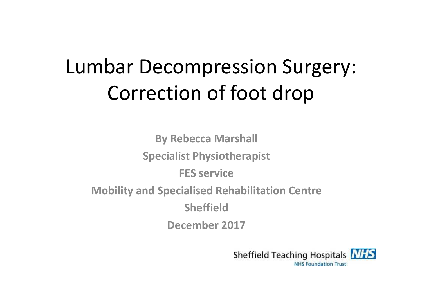# Lumbar Decompression Surgery: Correction of foot drop

**By Rebecca MarshallSpecialist PhysiotherapistFES serviceMobility and Specialised Rehabilitation CentreSheffieldDecember 2017**

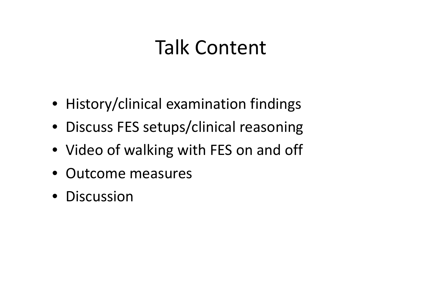## Talk Content

- History/clinical examination findings
- Discuss FES setups/clinical reasoning
- Video of walking with FES on and off
- Outcome measures
- Discussion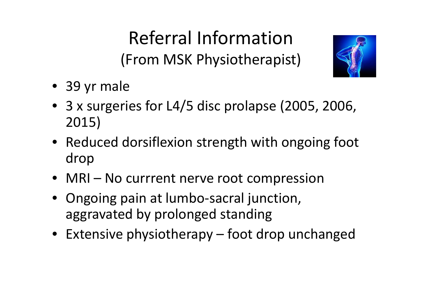Referral Information (From MSK Physiotherapist)



- 39 yr male
- 3 x surgeries for L4/5 disc prolapse (2005, 2006, 2015)
- Reduced dorsiflexion strength with ongoing foot drop
- MRI No currrent nerve root compression
- Ongoing pain at lumbo-sacral junction, aggravated by prolonged standing
- Extensive physiotherapy foot drop unchanged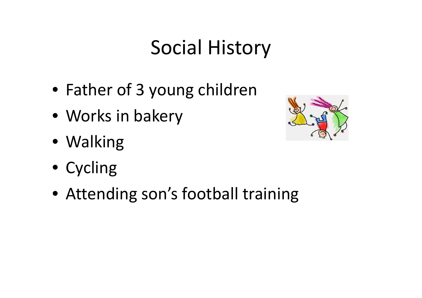# Social History

- Father of 3 young children
- Works in bakery
- Walking
- Cycling
- Attending son's football training

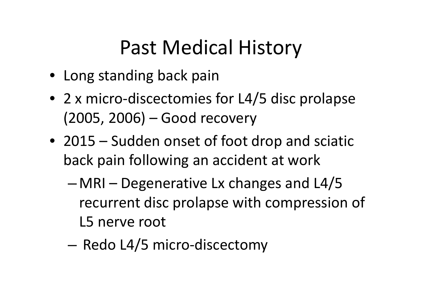# Past Medical History

- Long standing back pain
- 2 x micro-discectomies for L4/5 disc prolapse (2005, 2006) – Good recovery
- 2015 Sudden onset of foot drop and sciatic back pain following an accident at work
	- – MRI – Degenerative Lx changes and L4/5 recurrent disc prolapse with compression of L5 nerve root
	- –— Redo L4/5 micro-discectomy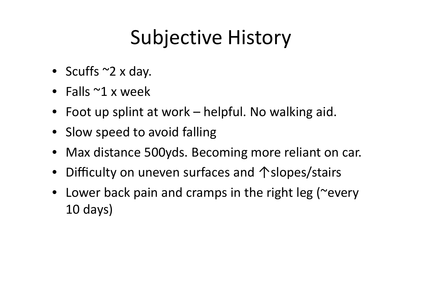# Subjective History

- Scuffs ~2 x day.
- Falls ~1 x week
- Foot up splint at work helpful. No walking aid.
- Slow speed to avoid falling
- Max distance 500yds. Becoming more reliant on car.
- Difficulty on uneven surfaces and ↑slopes/stairs
- Lower back pain and cramps in the right leg (~every10 days)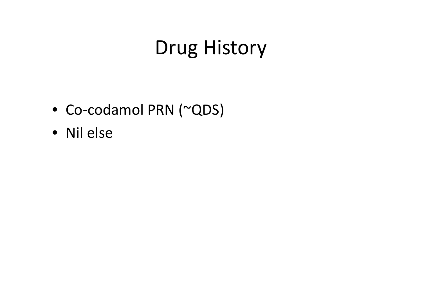# Drug History

- Co-codamol PRN (~QDS)
- Nil else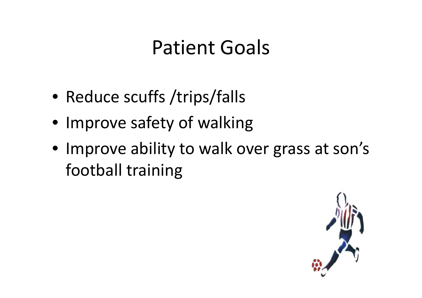## Patient Goals

- Reduce scuffs /trips/falls
- Improve safety of walking
- Improve ability to walk over grass at son's football training

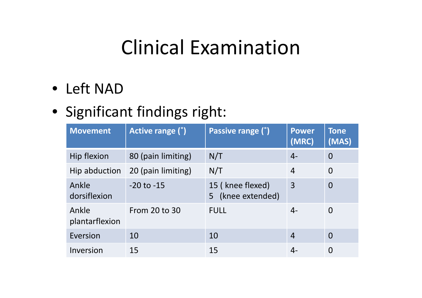## Clinical Examination

• Left NAD

#### • Significant findings right:

| <b>Movement</b>         | Active range (°)   | Passive range (°)                        | <b>Power</b><br>(MRC) | <b>Tone</b><br>(MAS) |
|-------------------------|--------------------|------------------------------------------|-----------------------|----------------------|
| Hip flexion             | 80 (pain limiting) | N/T                                      | $4-$                  | $\overline{0}$       |
| Hip abduction           | 20 (pain limiting) | N/T                                      | $\overline{4}$        | $\Omega$             |
| Ankle<br>dorsiflexion   | $-20$ to $-15$     | 15 (knee flexed)<br>(knee extended)<br>5 | $\overline{3}$        | $\overline{0}$       |
| Ankle<br>plantarflexion | From 20 to 30      | <b>FULL</b>                              | $4-$                  | $\Omega$             |
| Eversion                | 10                 | 10                                       | $\overline{4}$        | $\overline{0}$       |
| Inversion               | 15                 | 15                                       | 4-                    | 0                    |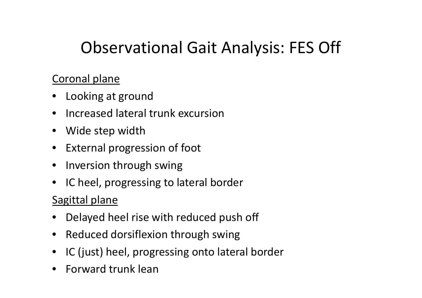#### Observational Gait Analysis: FES Off

#### Coronal plane

- Looking at ground
- Increased lateral trunk excursion
- Wide step width
- External progression of foot
- Inversion through swing
- $\bullet$ IC heel, progressing to lateral border

#### Sagittal plane

- •Delayed heel rise with reduced push off
- Reduced dorsiflexion through swing
- IC (just) heel, progressing onto lateral border
- •Forward trunk lean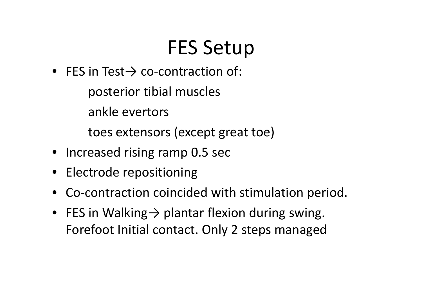# FES Setup

• FES in Test $\rightarrow$  co-contraction of:

posterior tibial muscles

ankle evertors

toes extensors (except great toe)

- Increased rising ramp 0.5 sec
- Electrode repositioning
- Co-contraction coincided with stimulation period.
- FES in Walking→ plantar flexion during swing. Forefoot Initial contact. Only 2 steps managed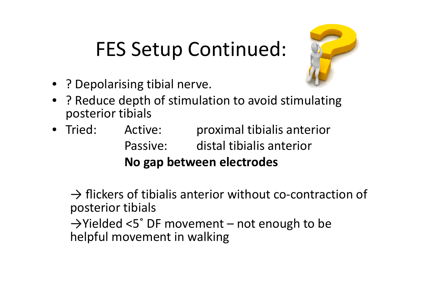# FES Setup Continued:



- ? Depolarising tibial nerve.
- ? Reduce depth of stimulation to avoid stimulating posterior tibials
- Tried: Active: proximal tibialis anterior Passive: distal tibialis anterior **No gap between electrodes**

 $\rightarrow$  flickers of tibialis anterior without co-contraction of posterior tibials

 →Yielded <5˚ DF movement – not enough to be helpful movement in walking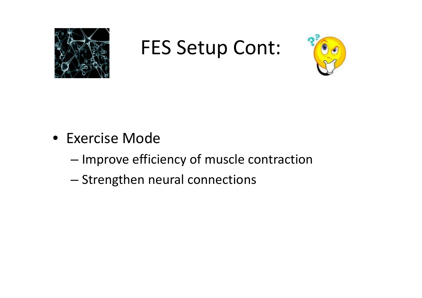

FES Setup Cont:



- Exercise Mode
	- –— Improve efficiency of muscle contraction
	- –— Strengthen neural connections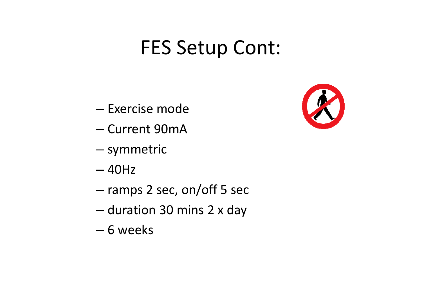## FES Setup Cont:

- –— Exercise mode
- –— Current 90mA
- –— symmetric
- –40Hz
- –ramps 2 sec, on/off 5 sec
- –— duration 30 mins 2 x day
- –6 weeks

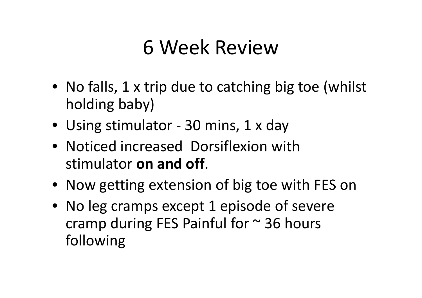## 6 Week Review

- No falls, 1 x trip due to catching big toe (whilst holding baby)
- Using stimulator 30 mins, 1 x day
- Noticed increased Dorsiflexion with stimulator **on and off**.
- Now getting extension of big toe with FES on
- No leg cramps except 1 episode of severe cramp during FES Painful for  $\sim$  36 hours following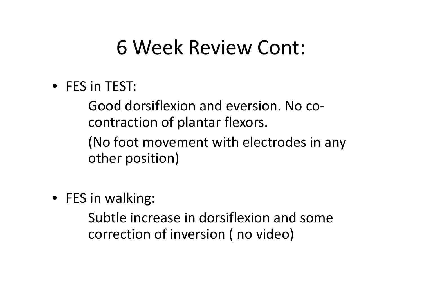### 6 Week Review Cont:

• FES in TEST:

Good dorsiflexion and eversion. No cocontraction of plantar flexors.

(No foot movement with electrodes in any other position)

• FES in walking:

Subtle increase in dorsiflexion and some correction of inversion ( no video)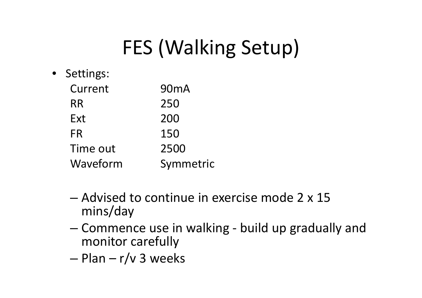# FES (Walking Setup)

- Settings: Current 90mARR <sup>250</sup> Ext 200FR <sup>150</sup>2500 Time out m Symmetric Waveform
	- and the state of the state - Advised to continue in exercise mode 2 x 15 mins/day
	- and the state of the state - Commence use in walking - build up gradually and monitor carefully
	- –Plan – r/v 3 weeks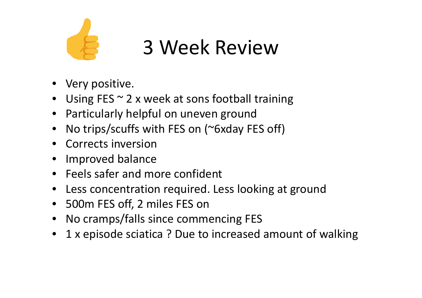

# 3 Week Review

- Very positive.
- Using FES ~ 2 x week at sons football training
- Particularly helpful on uneven ground
- No trips/scuffs with FES on (~6xday FES off)
- Corrects inversion
- Improved balance  $\bullet$
- Feels safer and more confident
- Less concentration required. Less looking at ground
- 500m FES off, 2 miles FES on
- No cramps/falls since commencing FES
- 1 x episode sciatica ? Due to increased amount of walking $\bullet$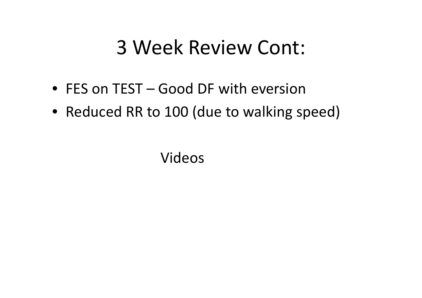### 3 Week Review Cont:

- FES on TEST Good DF with eversion
- Reduced RR to 100 (due to walking speed)

Videos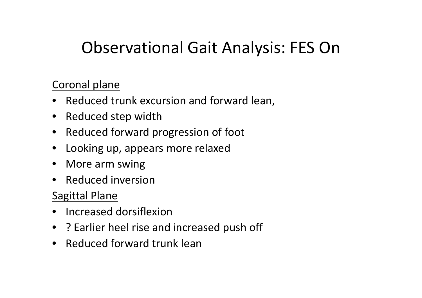#### Observational Gait Analysis: FES On

#### Coronal plane

- Reduced trunk excursion and forward lean,
- Reduced step width
- Reduced forward progression of foot
- $\bullet$ Looking up, appears more relaxed
- More arm swing
- Reduced inversion

#### Sagittal Plane

- Increased dorsiflexion
- ? Earlier heel rise and increased push off
- Reduced forward trunk lean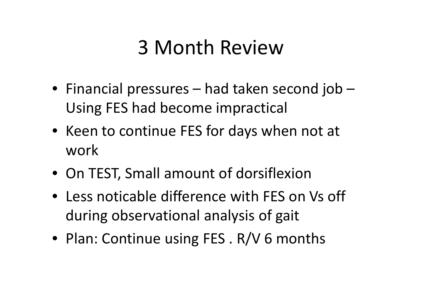## 3 Month Review

- Financial pressures had taken second job Using FES had become impractical
- Keen to continue FES for days when not at work
- On TEST, Small amount of dorsiflexion
- Less noticable difference with FES on Vs off during observational analysis of gait
- Plan: Continue using FES . R/V 6 months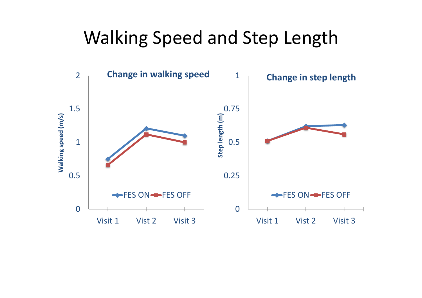#### Walking Speed and Step Length